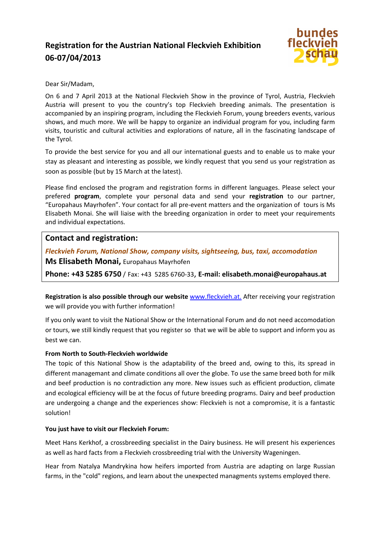# **Registration for the Austrian National Fleckvieh Exhibition 06-07/04/2013**



#### Dear Sir/Madam,

On 6 and 7 April 2013 at the National Fleckvieh Show in the province of Tyrol, Austria, Fleckvieh Austria will present to you the country's top Fleckvieh breeding animals. The presentation is accompanied by an inspiring program, including the Fleckvieh Forum, young breeders events, various shows, and much more. We will be happy to organize an individual program for you, including farm visits, touristic and cultural activities and explorations of nature, all in the fascinating landscape of the Tyrol.

To provide the best service for you and all our international guests and to enable us to make your stay as pleasant and interesting as possible, we kindly request that you send us your registration as soon as possible (but by 15 March at the latest).

Please find enclosed the program and registration forms in different languages. Please select your prefered **program**, complete your personal data and send your **registration** to our partner, "Europahaus Mayrhofen". Your contact for all pre-event matters and the organization of tours is Ms Elisabeth Monai. She will liaise with the breeding organization in order to meet your requirements and individual expectations.

# **Contact and registration:**

*Fleckvieh Forum, National Show, company visits, sightseeing, bus, taxi, accomodation* 

**Ms Elisabeth Monai,** Europahaus Mayrhofen

**Phone: +43 5285 6750** / Fax: +43 5285 6760-33, **E-mail: elisabeth.monai@europahaus.at** 

**Registration is also possible through our website** www.fleckvieh.at. After receiving your registration we will provide you with further information!

If you only want to visit the National Show or the International Forum and do not need accomodation or tours, we still kindly request that you register so that we will be able to support and inform you as best we can.

## **From North to South-Fleckvieh worldwide**

The topic of this National Show is the adaptability of the breed and, owing to this, its spread in different managemant and climate conditions all over the globe. To use the same breed both for milk and beef production is no contradiction any more. New issues such as efficient production, climate and ecological efficiency will be at the focus of future breeding programs. Dairy and beef production are undergoing a change and the experiences show: Fleckvieh is not a compromise, it is a fantastic solution!

#### **You just have to visit our Fleckvieh Forum:**

Meet Hans Kerkhof, a crossbreeding specialist in the Dairy business. He will present his experiences as well as hard facts from a Fleckvieh crossbreeding trial with the University Wageningen.

Hear from Natalya Mandrykina how heifers imported from Austria are adapting on large Russian farms, in the "cold" regions, and learn about the unexpected managments systems employed there.